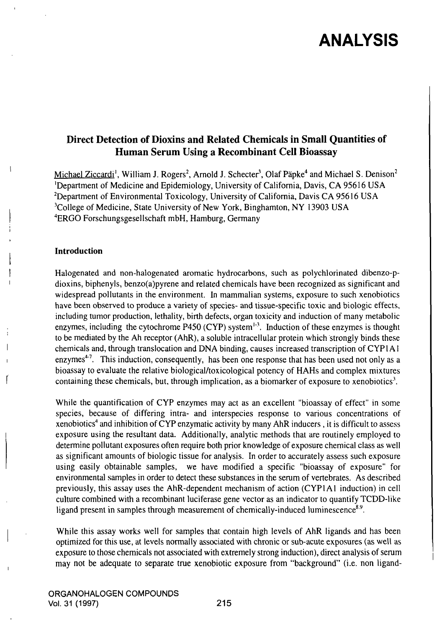## ANALYSIS

### Direct Detection of Dioxins and Related Chemicals in Small Quantities of Human Serum Using a Recombinant Cell Bioassay

Michael Ziccardi<sup>1</sup>, William J. Rogers<sup>2</sup>, Arnold J. Schecter<sup>3</sup>, Olaf Päpke<sup>4</sup> and Michael S. Denison<sup>2</sup> 'Department of Medicine and Epidemiology, University of California, Davis, CA 95616 US A <sup>2</sup>Department of Environmental Toxicology, University of California, Davis CA 95616 USA <sup>3</sup>College of Medicine, State University of New York, Binghamton, NY 13903 USA <sup>4</sup>ERGO Forschungsgesellschaft mbH, Hamburg, Germany

#### Introduction

Halogenated and non-halogenated aromatic hydrocarbons, such as polychlorinated dibenzo-pdioxins, biphenyls, benzo(a)pyrene and related chemicals have been recognized as significant and widespread pollutants in the environment. In mammalian systems, exposure to such xenobiotics have been observed to produce a variety of species- and tissue-specific toxic and biologic effects, including tumor production, lethality, birth defects, organ toxicity and induction of many metabolic enzymes, including the cytochrome P450 (CYP) system $^{1-3}$ . Induction of these enzymes is thought to be mediated by the Ah receptor (AhR), a soluble intracellular protein which strongly binds these chemicals and, through translocation and DNA binding, causes increased transcription of CYPI A1 enzymes<sup> $+7$ </sup>. This induction, consequently, has been one response that has been used not only as a bioassay to evaluate the relative biological/toxicological potency of HAHs and complex mixtures containing these chemicals, but, through implication, as a biomarker of exposure to xenobiotics'.

While the quantification of CYP enzymes may act as an excellent "bioassay of effect" in some species, because of differing intra- and interspecies response to various concentrations of xenobiotics'' and inhibition of CYP enzymatic activity by many AhR inducers , it is difficult to assess exposure using the resultant data. Additionally, analytic methods that are routinely employed to determine pollutant exposures often require both prior knowledge of exposure chemical class as well as significant amounts of biologic tissue for analysis. In order to accurately assess such exposure using easily obtainable samples, we have modified a specific "bioassay of exposure" for environmental samples in order to detect these substances in the semm of vertebrates. As described previously, this assay uses the AhR-dependent mechanism of action (CYPlAl induction) in cell culture combined with a recombinant luciferase gene vector as an indicator to quantify TCDD-like ligand present in samples through measurement of chemically-induced luminescence $^{8.9}$ .

While this assay works well for samples that contain high levels of AhR ligands and has been optimized for this use, at levels normally associated with chronic or sub-acute exposures (as well as exposure to those chemicals not associated with extremely strong induction), direct analysis of semm may not be adequate to separate tme xenobiotic exposure from "background" (i.e. non ligand-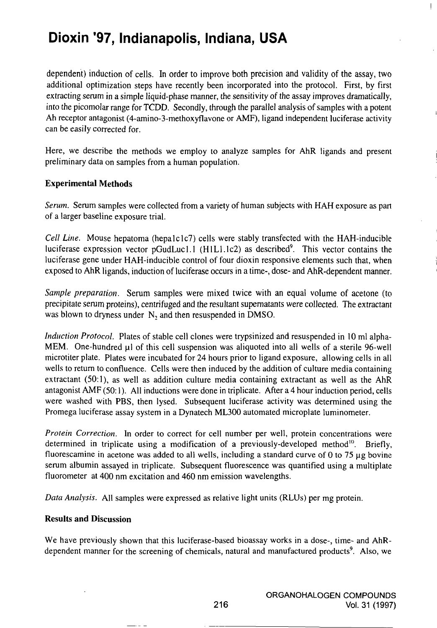## Dioxin '97, Indianapolis, Indiana, USA

dependent) induction of cells. In order to improve both precision and validity of the assay, two additional optimization steps have recentiy been incorporated into the protocol. First, by first extracting serum in a simple liquid-phase manner, the sensitivity of the assay improves dramatically, into the picomolar range for TCDD. Secondly, through the parallel analysis of samples with a potent Ah receptor antagonist (4-amino-3-methoxyflavone or AMF), ligand independent luciferase activity can be easily corrected for.

Here, we describe the methods we employ to analyze samples for AhR ligands and present preliminary data on samples from a human population.

#### Experimental Methods

Serum. Serum samples were collected from a variety of human subjects with HAH exposure as part of a larger baseline exposure trial.

Cell Line. Mouse hepatoma (hepalclc7) cells were stably transfected with the HAH-inducible luciferase expression vector pGudLucl.l (HlLl.lc2) as described'. This vector contains the luciferase gene under HAH-inducible control of four dioxin responsive elements such that, when exposed to AhR ligands, induction of luciferase occurs in a time-, dose- and AhR-dependent manner.

Sample preparation. Serum samples were mixed twice with an equal volume of acetone (to precipitate semm proteins), centrifuged and the resultant supematants were collected. The extractant was blown to dryness under  $N_2$  and then resuspended in DMSO.

Induction Protocol. Plates of stable cell clones were Irypsinized and resuspended in 10 ml alpha-MEM. One-hundred  $\mu$ l of this cell suspension was aliquoted into all wells of a sterile 96-well microtiter plate. Plates were incubated for 24 hours prior to ligand exposure, allowing cells in all wells to retum to confluence. Cells were then induced by the addition of culture media containing extractant (50:1), as well as addition culture media containing extractant as well as the AhR antagonist AMF (50:1). All inductions were done in triplicate. After a 4 hour induction period, cells were washed with PBS, then lysed. Subsequent luciferase activity was determined using the Promega luciferase assay system in a Dynatech ML300 automated microplate luminometer.

*Protein Correction*. In order to correct for cell number per well, protein concentrations were determined in triplicate using a modification of a previously-developed method'". Briefly, fluorescamine in acetone was added to all wells, including a standard curve of 0 to 75  $\mu$ g bovine semm albumin assayed in triplicate. Subsequent fluorescence was quantified using a multiplate fluorometer at 400 nm excitation and 460 nm emission wavelengths.

Data Analysis. All samples were expressed as relative light units (RLUs) per mg protein.

#### Results and Discussion

We have previously shown that this luciferase-based bioassay works in a dose-, time- and AhRdependent manner for the screening of chemicals, natural and manufactured products<sup>9</sup>. Also, we  $\mathbf{I}$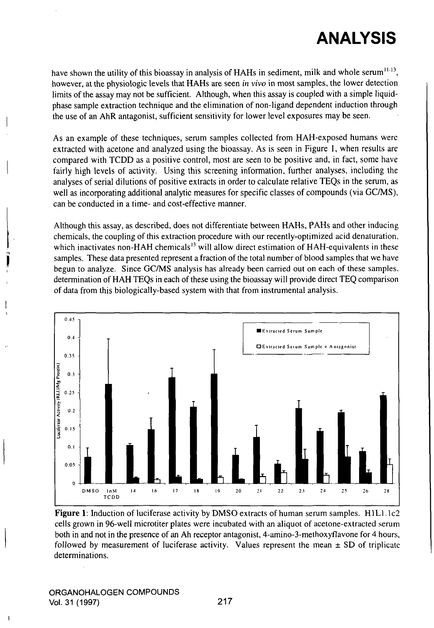# ANALYSIS

have shown the utility of this bioassay in analysis of HAHs in sediment, milk and whole serum $11-13$ , however, at the physiologic levels that HAHs are seen in vivo in most samples, the lower detection limits of the assay may not be sufficient. Although, when this assay is coupled with a simple liquidphase sample extraction technique and the elimination of non-ligand dependent induction through the use of an AhR antagonist, sufficient sensitivity for lower level exposures may be seen.

As an example of these techniques, semm samples collected from HAH-exposed humans were extracted with acetone and analyzed using the bioassay. As is seen in Figure 1, when results are compared with TCDD as a positive control, most are seen to be positive and, in fact, some have fairly high levels of activity. Using this screening information, further analyses, including the analyses of serial dilutions of positive extracts in order to calculate relative TEQs in the semm, as well as incorporating additional analytic measures for specific classes of compounds (via GC/MS), can be conducted in a time- and cost-effective manner.

Although this assay, as described, does not differentiate between HAHs, PAHs and other inducing chemicals, the coupling of this extraction procedure with our recently-optimized acid denaturation, which inactivates non-HAH chemicals<sup>13</sup> will allow direct estimation of  $HAH$ -equivalents in these samples. These data presented represent a fraction of the total number of blood samples that we have begun to analyze. Since GC/MS analysis has already been carried out on each of these samples, determination of HAH TEQs in each of these using the bioassay will provide direct TEQ comparison of data from this biologically-based system with that from instrumental analysis.



Figure 1: Induction of luciferase activity by DMSO extracts of human serum samples. H1L1.1c2 cells grown in 96-well microtiter plates were incubated with an aliquot of acetone-extracted serum both in and not in the presence of an Ah receptor antagonist, 4-amino-3-methoxyflavone for 4 hours, followed by measurement of luciferase activity. Values represent the mean  $\pm$  SD of triplicate determinations.